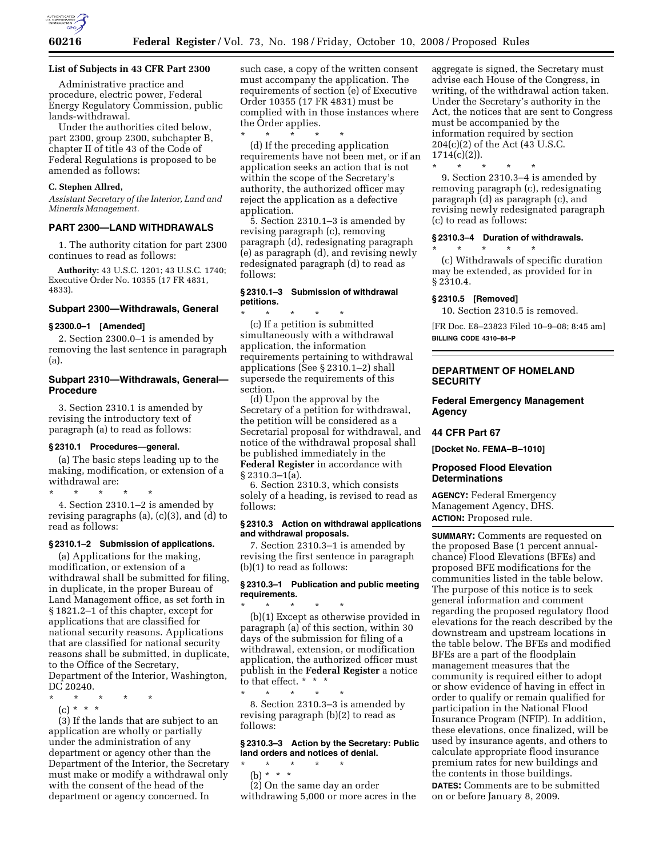

# **List of Subjects in 43 CFR Part 2300**

Administrative practice and procedure, electric power, Federal Energy Regulatory Commission, public lands-withdrawal.

Under the authorities cited below, part 2300, group 2300, subchapter B, chapter II of title 43 of the Code of Federal Regulations is proposed to be amended as follows:

# **C. Stephen Allred,**

*Assistant Secretary of the Interior, Land and Minerals Management.* 

### **PART 2300—LAND WITHDRAWALS**

1. The authority citation for part 2300 continues to read as follows:

**Authority:** 43 U.S.C. 1201; 43 U.S.C. 1740; Executive Order No. 10355 (17 FR 4831, 4833).

# **Subpart 2300—Withdrawals, General**

# **§ 2300.0–1 [Amended]**

2. Section 2300.0–1 is amended by removing the last sentence in paragraph (a).

# **Subpart 2310—Withdrawals, General— Procedure**

3. Section 2310.1 is amended by revising the introductory text of paragraph (a) to read as follows:

#### **§ 2310.1 Procedures—general.**

(a) The basic steps leading up to the making, modification, or extension of a withdrawal are:

\* \* \* \* \* 4. Section 2310.1–2 is amended by revising paragraphs (a), (c)(3), and (d) to read as follows:

#### **§ 2310.1–2 Submission of applications.**

(a) Applications for the making, modification, or extension of a withdrawal shall be submitted for filing, in duplicate, in the proper Bureau of Land Management office, as set forth in § 1821.2–1 of this chapter, except for applications that are classified for national security reasons. Applications that are classified for national security reasons shall be submitted, in duplicate, to the Office of the Secretary, Department of the Interior, Washington, DC 20240.

- \* \* \* \* \*
- (c) \* \* \*

(3) If the lands that are subject to an application are wholly or partially under the administration of any department or agency other than the Department of the Interior, the Secretary must make or modify a withdrawal only with the consent of the head of the department or agency concerned. In

such case, a copy of the written consent must accompany the application. The requirements of section (e) of Executive Order 10355 (17 FR 4831) must be complied with in those instances where the Order applies.

\* \* \* \* \* (d) If the preceding application requirements have not been met, or if an application seeks an action that is not within the scope of the Secretary's authority, the authorized officer may reject the application as a defective application.

5. Section 2310.1–3 is amended by revising paragraph (c), removing paragraph (d), redesignating paragraph (e) as paragraph (d), and revising newly redesignated paragraph (d) to read as follows:

# **§ 2310.1–3 Submission of withdrawal petitions.**

\* \* \* \* \* (c) If a petition is submitted simultaneously with a withdrawal application, the information requirements pertaining to withdrawal applications (See § 2310.1–2) shall supersede the requirements of this section.

(d) Upon the approval by the Secretary of a petition for withdrawal, the petition will be considered as a Secretarial proposal for withdrawal, and notice of the withdrawal proposal shall be published immediately in the **Federal Register** in accordance with § 2310.3–1(a).

6. Section 2310.3, which consists solely of a heading, is revised to read as follows:

# **§ 2310.3 Action on withdrawal applications and withdrawal proposals.**

7. Section 2310.3–1 is amended by revising the first sentence in paragraph (b)(1) to read as follows:

# **§ 2310.3–1 Publication and public meeting requirements.**

\* \* \* \* \* (b)(1) Except as otherwise provided in paragraph (a) of this section, within 30 days of the submission for filing of a withdrawal, extension, or modification application, the authorized officer must publish in the **Federal Register** a notice to that effect. \* \* \*

\* \* \* \* \* 8. Section 2310.3–3 is amended by revising paragraph (b)(2) to read as follows:

# **§ 2310.3–3 Action by the Secretary: Public land orders and notices of denial.**

\* \* \* \* \* (b) \* \* \*

(2) On the same day an order withdrawing 5,000 or more acres in the aggregate is signed, the Secretary must advise each House of the Congress, in writing, of the withdrawal action taken. Under the Secretary's authority in the Act, the notices that are sent to Congress must be accompanied by the information required by section 204(c)(2) of the Act (43 U.S.C. 1714(c)(2)).

9. Section 2310.3–4 is amended by removing paragraph (c), redesignating paragraph (d) as paragraph (c), and revising newly redesignated paragraph (c) to read as follows:

### **§ 2310.3–4 Duration of withdrawals.**

(c) Withdrawals of specific duration may be extended, as provided for in § 2310.4.

#### **§ 2310.5 [Removed]**

\* \* \* \* \*

\* \* \* \* \*

10. Section 2310.5 is removed.

[FR Doc. E8–23823 Filed 10–9–08; 8:45 am] **BILLING CODE 4310–84–P** 

# **DEPARTMENT OF HOMELAND SECURITY**

# **Federal Emergency Management Agency**

## **44 CFR Part 67**

**[Docket No. FEMA–B–1010]** 

# **Proposed Flood Elevation Determinations**

**AGENCY:** Federal Emergency Management Agency, DHS. **ACTION:** Proposed rule.

**SUMMARY:** Comments are requested on the proposed Base (1 percent annualchance) Flood Elevations (BFEs) and proposed BFE modifications for the communities listed in the table below. The purpose of this notice is to seek general information and comment regarding the proposed regulatory flood elevations for the reach described by the downstream and upstream locations in the table below. The BFEs and modified BFEs are a part of the floodplain management measures that the community is required either to adopt or show evidence of having in effect in order to qualify or remain qualified for participation in the National Flood Insurance Program (NFIP). In addition, these elevations, once finalized, will be used by insurance agents, and others to calculate appropriate flood insurance premium rates for new buildings and the contents in those buildings. **DATES:** Comments are to be submitted on or before January 8, 2009.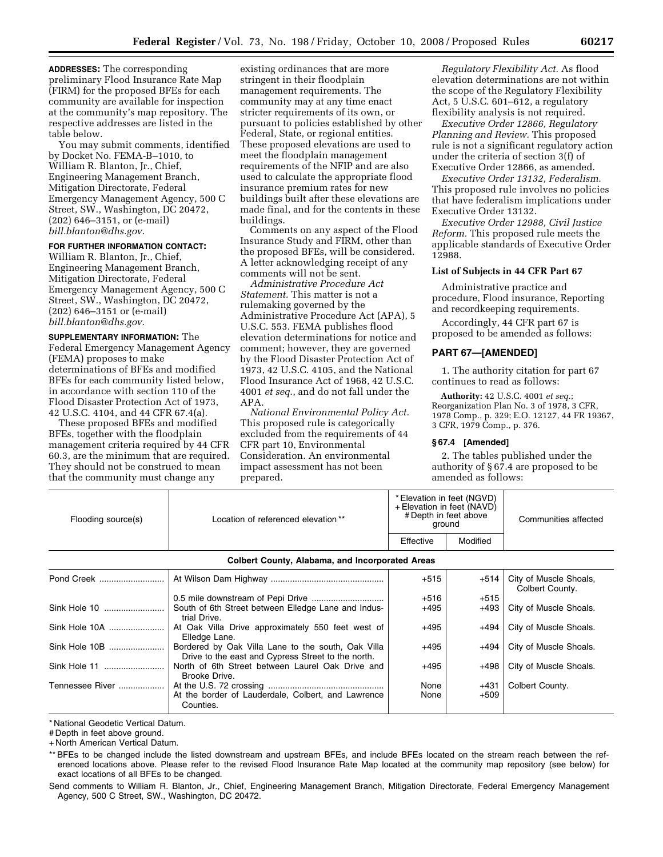**ADDRESSES:** The corresponding preliminary Flood Insurance Rate Map (FIRM) for the proposed BFEs for each community are available for inspection at the community's map repository. The respective addresses are listed in the table below.

You may submit comments, identified by Docket No. FEMA-B–1010, to William R. Blanton, Jr., Chief, Engineering Management Branch, Mitigation Directorate, Federal Emergency Management Agency, 500 C Street, SW., Washington, DC 20472, (202) 646–3151, or (e-mail) *bill.blanton@dhs.gov*.

# **FOR FURTHER INFORMATION CONTACT:**

William R. Blanton, Jr., Chief, Engineering Management Branch, Mitigation Directorate, Federal Emergency Management Agency, 500 C Street, SW., Washington, DC 20472, (202) 646–3151 or (e-mail) *bill.blanton@dhs.gov*.

**SUPPLEMENTARY INFORMATION:** The Federal Emergency Management Agency (FEMA) proposes to make determinations of BFEs and modified BFEs for each community listed below, in accordance with section 110 of the Flood Disaster Protection Act of 1973, 42 U.S.C. 4104, and 44 CFR 67.4(a).

These proposed BFEs and modified BFEs, together with the floodplain management criteria required by 44 CFR 60.3, are the minimum that are required. They should not be construed to mean that the community must change any

existing ordinances that are more stringent in their floodplain management requirements. The community may at any time enact stricter requirements of its own, or pursuant to policies established by other Federal, State, or regional entities. These proposed elevations are used to meet the floodplain management requirements of the NFIP and are also used to calculate the appropriate flood insurance premium rates for new buildings built after these elevations are made final, and for the contents in these buildings.

Comments on any aspect of the Flood Insurance Study and FIRM, other than the proposed BFEs, will be considered. A letter acknowledging receipt of any comments will not be sent.

*Administrative Procedure Act Statement.* This matter is not a rulemaking governed by the Administrative Procedure Act (APA), 5 U.S.C. 553. FEMA publishes flood elevation determinations for notice and comment; however, they are governed by the Flood Disaster Protection Act of 1973, 42 U.S.C. 4105, and the National Flood Insurance Act of 1968, 42 U.S.C. 4001 *et seq*., and do not fall under the APA.

*National Environmental Policy Act.*  This proposed rule is categorically excluded from the requirements of 44 CFR part 10, Environmental Consideration. An environmental impact assessment has not been prepared.

*Regulatory Flexibility Act.* As flood elevation determinations are not within the scope of the Regulatory Flexibility Act, 5 U.S.C. 601–612, a regulatory flexibility analysis is not required.

*Executive Order 12866, Regulatory Planning and Review.* This proposed rule is not a significant regulatory action under the criteria of section 3(f) of Executive Order 12866, as amended.

*Executive Order 13132, Federalism.*  This proposed rule involves no policies that have federalism implications under Executive Order 13132.

*Executive Order 12988, Civil Justice Reform.* This proposed rule meets the applicable standards of Executive Order 12988.

# **List of Subjects in 44 CFR Part 67**

Administrative practice and procedure, Flood insurance, Reporting and recordkeeping requirements.

Accordingly, 44 CFR part 67 is proposed to be amended as follows:

### **PART 67—[AMENDED]**

1. The authority citation for part 67 continues to read as follows:

**Authority:** 42 U.S.C. 4001 *et seq.*; Reorganization Plan No. 3 of 1978, 3 CFR, 1978 Comp., p. 329; E.O. 12127, 44 FR 19367, 3 CFR, 1979 Comp., p. 376.

### **§ 67.4 [Amended]**

2. The tables published under the authority of § 67.4 are proposed to be amended as follows:

| Flooding source(s)                                     | Location of referenced elevation ** | * Elevation in feet (NGVD)<br>+ Elevation in feet (NAVD)<br># Depth in feet above<br>around |          | Communities affected |
|--------------------------------------------------------|-------------------------------------|---------------------------------------------------------------------------------------------|----------|----------------------|
|                                                        |                                     | Effective                                                                                   | Modified |                      |
| <b>Colbert County, Alabama, and Incorporated Areas</b> |                                     |                                                                                             |          |                      |

| Pond Creek      |                                                                                                          | $+515$       | $+514$           | City of Muscle Shoals,<br>Colbert County. |
|-----------------|----------------------------------------------------------------------------------------------------------|--------------|------------------|-------------------------------------------|
|                 |                                                                                                          | $+516$       | $+515$           |                                           |
|                 | South of 6th Street between Elledge Lane and Indus-<br>trial Drive.                                      | $+495$       | +493             | City of Muscle Shoals.                    |
| Sink Hole 10A   | At Oak Villa Drive approximately 550 feet west of<br>Elledge Lane.                                       | $+495$       | +494             | City of Muscle Shoals.                    |
| Sink Hole 10B   | Bordered by Oak Villa Lane to the south, Oak Villa<br>Drive to the east and Cypress Street to the north. | $+495$       | +494             | City of Muscle Shoals.                    |
| Sink Hole 11    | North of 6th Street between Laurel Oak Drive and<br>Brooke Drive.                                        | $+495$       | $+498$           | City of Muscle Shoals.                    |
| Tennessee River | At the border of Lauderdale, Colbert, and Lawrence<br>Counties.                                          | None<br>None | $+431$<br>$+509$ | Colbert County.                           |

\* National Geodetic Vertical Datum.

# Depth in feet above ground.

+ North American Vertical Datum.

\*\* BFEs to be changed include the listed downstream and upstream BFEs, and include BFEs located on the stream reach between the referenced locations above. Please refer to the revised Flood Insurance Rate Map located at the community map repository (see below) for exact locations of all BFEs to be changed.

Send comments to William R. Blanton, Jr., Chief, Engineering Management Branch, Mitigation Directorate, Federal Emergency Management Agency, 500 C Street, SW., Washington, DC 20472.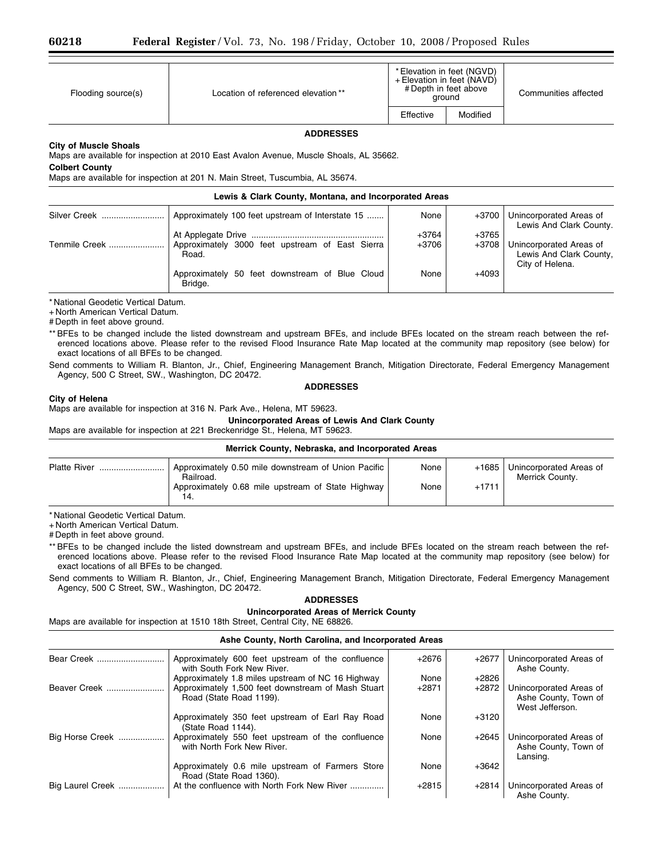| Flooding source(s) | Location of referenced elevation ** | * Elevation in feet (NGVD)<br>+ Elevation in feet (NAVD)<br># Depth in feet above<br>around |          | Communities affected |
|--------------------|-------------------------------------|---------------------------------------------------------------------------------------------|----------|----------------------|
|                    |                                     | Effective                                                                                   | Modified |                      |
| <b>ADDRESSES</b>   |                                     |                                                                                             |          |                      |

### **City of Muscle Shoals**

Maps are available for inspection at 2010 East Avalon Avenue, Muscle Shoals, AL 35662.

**Colbert County** 

Maps are available for inspection at 201 N. Main Street, Tuscumbia, AL 35674.

| Lewis & Clark County, Montana, and Incorporated Areas |                                                           |         |         |                                                                       |
|-------------------------------------------------------|-----------------------------------------------------------|---------|---------|-----------------------------------------------------------------------|
| Silver Creek                                          | Approximately 100 feet upstream of Interstate 15          | None    | +3700   | Unincorporated Areas of<br>Lewis And Clark County.                    |
|                                                       |                                                           | $+3764$ | $+3765$ |                                                                       |
| Tenmile Creek                                         | Approximately 3000 feet upstream of East Sierra<br>Road.  | +3706   | +3708   | Unincorporated Areas of<br>Lewis And Clark County,<br>City of Helena. |
|                                                       | Approximately 50 feet downstream of Blue Cloud<br>Bridge. | None    | $+4093$ |                                                                       |

\* National Geodetic Vertical Datum.

+ North American Vertical Datum.

# Depth in feet above ground.

\*\* BFEs to be changed include the listed downstream and upstream BFEs, and include BFEs located on the stream reach between the referenced locations above. Please refer to the revised Flood Insurance Rate Map located at the community map repository (see below) for exact locations of all BFEs to be changed.

Send comments to William R. Blanton, Jr., Chief, Engineering Management Branch, Mitigation Directorate, Federal Emergency Management Agency, 500 C Street, SW., Washington, DC 20472.

### **ADDRESSES**

### **City of Helena**

Maps are available for inspection at 316 N. Park Ave., Helena, MT 59623.

# **Unincorporated Areas of Lewis And Clark County**

Maps are available for inspection at 221 Breckenridge St., Helena, MT 59623.

| Merrick County, Nebraska, and Incorporated Areas |                                                                                                                                |              |                    |                                            |  |
|--------------------------------------------------|--------------------------------------------------------------------------------------------------------------------------------|--------------|--------------------|--------------------------------------------|--|
| Platte River                                     | Approximately 0.50 mile downstream of Union Pacific<br>Railroad.<br>Approximately 0.68 mile upstream of State Highway  <br>14. | None<br>None | $+1685$<br>$+1711$ | Unincorporated Areas of<br>Merrick County. |  |

\* National Geodetic Vertical Datum.

+ North American Vertical Datum.

# Depth in feet above ground.

\*\* BFEs to be changed include the listed downstream and upstream BFEs, and include BFEs located on the stream reach between the referenced locations above. Please refer to the revised Flood Insurance Rate Map located at the community map repository (see below) for exact locations of all BFEs to be changed.

Send comments to William R. Blanton, Jr., Chief, Engineering Management Branch, Mitigation Directorate, Federal Emergency Management Agency, 500 C Street, SW., Washington, DC 20472.

# **ADDRESSES**

# **Unincorporated Areas of Merrick County**

Maps are available for inspection at 1510 18th Street, Central City, NE 68826.

### **Ashe County, North Carolina, and Incorporated Areas**

| Bear Creek       | Approximately 600 feet upstream of the confluence<br>with South Fork New River. | $+2676$ | $+2677$ | Unincorporated Areas of<br>Ashe County.                            |
|------------------|---------------------------------------------------------------------------------|---------|---------|--------------------------------------------------------------------|
|                  | Approximately 1.8 miles upstream of NC 16 Highway                               | None    | $+2826$ |                                                                    |
| Beaver Creek     | Approximately 1,500 feet downstream of Mash Stuart<br>Road (State Road 1199).   | $+2871$ | $+2872$ | Unincorporated Areas of<br>Ashe County, Town of<br>West Jefferson. |
|                  | Approximately 350 feet upstream of Earl Ray Road<br>(State Road 1144).          | None    | $+3120$ |                                                                    |
| Big Horse Creek  | Approximately 550 feet upstream of the confluence<br>with North Fork New River. | None    | $+2645$ | Unincorporated Areas of<br>Ashe County, Town of<br>Lansing.        |
|                  | Approximately 0.6 mile upstream of Farmers Store<br>Road (State Road 1360).     | None    | $+3642$ |                                                                    |
| Big Laurel Creek | At the confluence with North Fork New River                                     | $+2815$ | $+2814$ | Unincorporated Areas of<br>Ashe County.                            |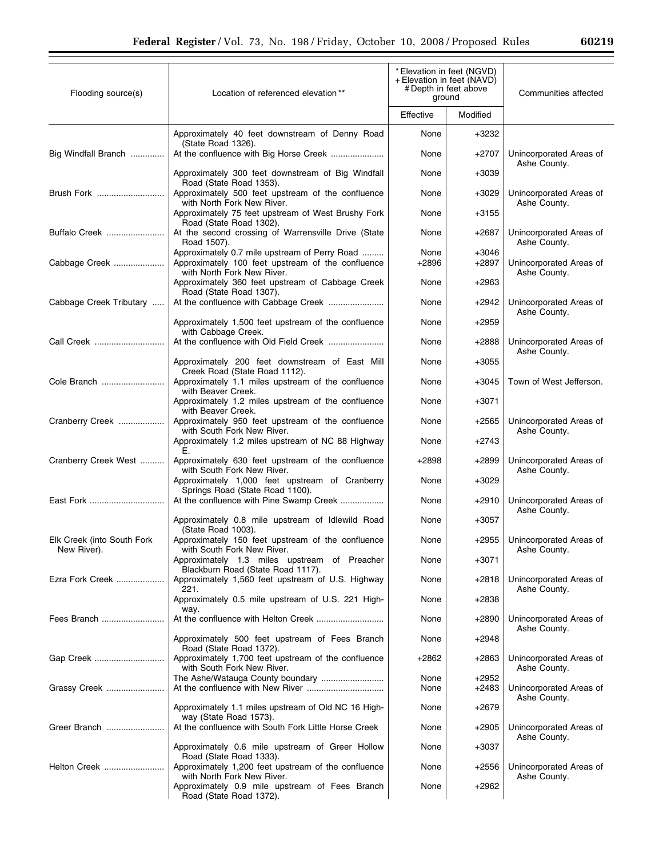| 60219 |
|-------|
|-------|

۰

| Flooding source(s)         | * Elevation in feet (NGVD)<br>+ Elevation in feet (NAVD)<br># Depth in feet above<br>Location of referenced elevation**<br>ground |                 |                    | Communities affected                    |
|----------------------------|-----------------------------------------------------------------------------------------------------------------------------------|-----------------|--------------------|-----------------------------------------|
|                            |                                                                                                                                   | Effective       | Modified           |                                         |
|                            | Approximately 40 feet downstream of Denny Road<br>(State Road 1326).                                                              | None            | +3232              |                                         |
| Big Windfall Branch        | At the confluence with Big Horse Creek                                                                                            | None            | $+2707$            | Unincorporated Areas of<br>Ashe County. |
|                            | Approximately 300 feet downstream of Big Windfall<br>Road (State Road 1353).                                                      | None            | $+3039$            |                                         |
| Brush Fork                 | Approximately 500 feet upstream of the confluence<br>with North Fork New River.                                                   | None            | $+3029$            | Unincorporated Areas of<br>Ashe County. |
|                            | Approximately 75 feet upstream of West Brushy Fork<br>Road (State Road 1302).                                                     | None            | $+3155$            |                                         |
| Buffalo Creek              | At the second crossing of Warrensville Drive (State<br>Road 1507).                                                                | None            | $+2687$            | Unincorporated Areas of<br>Ashe County. |
| Cabbage Creek              | Approximately 0.7 mile upstream of Perry Road<br>Approximately 100 feet upstream of the confluence<br>with North Fork New River.  | None<br>$+2896$ | $+3046$<br>$+2897$ | Unincorporated Areas of<br>Ashe County. |
|                            | Approximately 360 feet upstream of Cabbage Creek<br>Road (State Road 1307).                                                       | None            | $+2963$            |                                         |
| Cabbage Creek Tributary    |                                                                                                                                   | None            | $+2942$            | Unincorporated Areas of<br>Ashe County. |
|                            | Approximately 1,500 feet upstream of the confluence<br>with Cabbage Creek.                                                        | None            | $+2959$            |                                         |
| Call Creek                 |                                                                                                                                   | None            | $+2888$            | Unincorporated Areas of<br>Ashe County. |
|                            | Approximately 200 feet downstream of East Mill<br>Creek Road (State Road 1112).                                                   | None            | $+3055$            |                                         |
| Cole Branch                | Approximately 1.1 miles upstream of the confluence<br>with Beaver Creek.                                                          | None            | $+3045$            | Town of West Jefferson.                 |
| Cranberry Creek            | Approximately 1.2 miles upstream of the confluence<br>with Beaver Creek.<br>Approximately 950 feet upstream of the confluence     | None<br>None    | $+3071$<br>$+2565$ | Unincorporated Areas of                 |
|                            | with South Fork New River.<br>Approximately 1.2 miles upstream of NC 88 Highway                                                   | None            | $+2743$            | Ashe County.                            |
| Cranberry Creek West       | Е.<br>Approximately 630 feet upstream of the confluence                                                                           | $+2898$         | $+2899$            | Unincorporated Areas of                 |
|                            | with South Fork New River.<br>Approximately 1,000 feet upstream of Cranberry                                                      | None            | $+3029$            | Ashe County.                            |
| East Fork                  | Springs Road (State Road 1100).<br>At the confluence with Pine Swamp Creek                                                        | None            | $+2910$            | Unincorporated Areas of                 |
|                            | Approximately 0.8 mile upstream of Idlewild Road                                                                                  | None            | $+3057$            | Ashe County.                            |
| Elk Creek (into South Fork | (State Road 1003).<br>Approximately 150 feet upstream of the confluence                                                           | None            | $+2955$            | Unincorporated Areas of                 |
| New River).                | with South Fork New River.<br>Approximately 1.3 miles upstream of Preacher                                                        | None            | $+3071$            | Ashe County.                            |
| Ezra Fork Creek            | Blackburn Road (State Road 1117).<br>Approximately 1,560 feet upstream of U.S. Highway                                            | None            | $+2818$            | Unincorporated Areas of                 |
|                            | 221.<br>Approximately 0.5 mile upstream of U.S. 221 High-                                                                         | None            | $+2838$            | Ashe County.                            |
| Fees Branch                | way.                                                                                                                              | None            | +2890              | Unincorporated Areas of                 |
|                            | Approximately 500 feet upstream of Fees Branch<br>Road (State Road 1372).                                                         | None            | $+2948$            | Ashe County.                            |
| Gap Creek                  | Approximately 1,700 feet upstream of the confluence<br>with South Fork New River.                                                 | +2862           | +2863              | Unincorporated Areas of<br>Ashe County. |
| Grassy Creek               |                                                                                                                                   | None<br>None    | $+2952$<br>$+2483$ | Unincorporated Areas of                 |
|                            | Approximately 1.1 miles upstream of Old NC 16 High-                                                                               | None            | $+2679$            | Ashe County.                            |
| Greer Branch               | way (State Road 1573).<br>At the confluence with South Fork Little Horse Creek                                                    | None            | $+2905$            | Unincorporated Areas of                 |
|                            | Approximately 0.6 mile upstream of Greer Hollow                                                                                   | None            | $+3037$            | Ashe County.                            |
| Helton Creek               | Road (State Road 1333).<br>Approximately 1,200 feet upstream of the confluence                                                    | None            | $+2556$            | Unincorporated Areas of                 |
|                            | with North Fork New River.<br>Approximately 0.9 mile upstream of Fees Branch<br>Road (State Road 1372).                           | None            | $+2962$            | Ashe County.                            |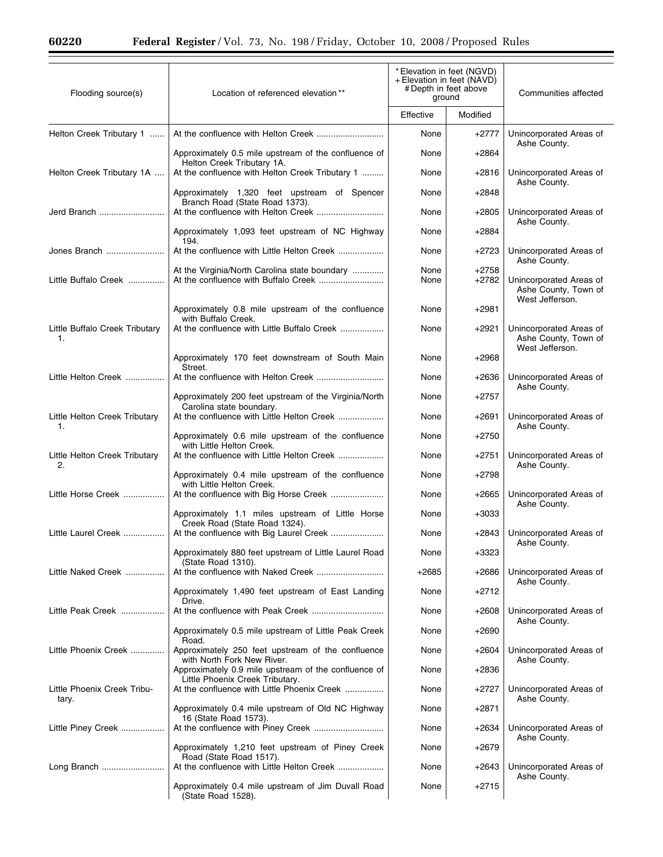Ξ

| Flooding source(s)                   | Location of referenced elevation**                                                 | *Elevation in feet (NGVD)<br>+ Elevation in feet (NAVD)<br># Depth in feet above<br>ground |                    | Communities affected                                               |
|--------------------------------------|------------------------------------------------------------------------------------|--------------------------------------------------------------------------------------------|--------------------|--------------------------------------------------------------------|
|                                      |                                                                                    | Effective                                                                                  | Modified           |                                                                    |
| Helton Creek Tributary 1             |                                                                                    | None                                                                                       | $+2777$            | Unincorporated Areas of<br>Ashe County.                            |
|                                      | Approximately 0.5 mile upstream of the confluence of<br>Helton Creek Tributary 1A. | None                                                                                       | +2864              |                                                                    |
| Helton Creek Tributary 1A            | At the confluence with Helton Creek Tributary 1                                    | None                                                                                       | +2816              | Unincorporated Areas of<br>Ashe County.                            |
|                                      | Approximately 1,320 feet upstream of Spencer<br>Branch Road (State Road 1373).     | None                                                                                       | $+2848$            |                                                                    |
| Jerd Branch                          |                                                                                    | None                                                                                       | $+2805$            | Unincorporated Areas of<br>Ashe County.                            |
|                                      | Approximately 1,093 feet upstream of NC Highway<br>194.                            | None                                                                                       | $+2884$            |                                                                    |
| Jones Branch                         |                                                                                    | None                                                                                       | +2723              | Unincorporated Areas of<br>Ashe County.                            |
| Little Buffalo Creek                 | At the Virginia/North Carolina state boundary                                      | None<br>None                                                                               | $+2758$<br>$+2782$ | Unincorporated Areas of<br>Ashe County, Town of<br>West Jefferson. |
|                                      | Approximately 0.8 mile upstream of the confluence<br>with Buffalo Creek.           | None                                                                                       | +2981              |                                                                    |
| Little Buffalo Creek Tributary<br>1. |                                                                                    | None                                                                                       | +2921              | Unincorporated Areas of<br>Ashe County, Town of<br>West Jefferson. |
|                                      | Approximately 170 feet downstream of South Main<br>Street.                         | None                                                                                       | +2968              |                                                                    |
| Little Helton Creek                  |                                                                                    | None                                                                                       | +2636              | Unincorporated Areas of<br>Ashe County.                            |
|                                      | Approximately 200 feet upstream of the Virginia/North<br>Carolina state boundary.  | None                                                                                       | +2757              |                                                                    |
| Little Helton Creek Tributary<br>1.  | At the confluence with Little Helton Creek                                         | None                                                                                       | +2691              | Unincorporated Areas of<br>Ashe County.                            |
|                                      | Approximately 0.6 mile upstream of the confluence<br>with Little Helton Creek.     | None                                                                                       | +2750              |                                                                    |
| Little Helton Creek Tributary<br>2.  |                                                                                    | None                                                                                       | +2751              | Unincorporated Areas of<br>Ashe County.                            |
|                                      | Approximately 0.4 mile upstream of the confluence<br>with Little Helton Creek.     | None                                                                                       | +2798              |                                                                    |
| Little Horse Creek                   | At the confluence with Big Horse Creek                                             | None                                                                                       | +2665              | Unincorporated Areas of<br>Ashe County.                            |
|                                      | Approximately 1.1 miles upstream of Little Horse<br>Creek Road (State Road 1324).  | None                                                                                       | +3033              |                                                                    |
| Little Laurel Creek                  | At the confluence with Big Laurel Creek                                            | None                                                                                       | +2843              | Unincorporated Areas of<br>Ashe County.                            |
|                                      | Approximately 880 feet upstream of Little Laurel Road<br>(State Road 1310).        | None                                                                                       | +3323              |                                                                    |
| Little Naked Creek                   | Approximately 1,490 feet upstream of East Landing                                  | +2685<br>None                                                                              | +2686<br>+2712     | Unincorporated Areas of<br>Ashe County.                            |
| Little Peak Creek                    | Drive.                                                                             | None                                                                                       | +2608              | Unincorporated Areas of                                            |
|                                      | Approximately 0.5 mile upstream of Little Peak Creek                               | None                                                                                       | +2690              | Ashe County.                                                       |
| Little Phoenix Creek                 | Road.<br>Approximately 250 feet upstream of the confluence                         | None                                                                                       | +2604              | Unincorporated Areas of                                            |
|                                      | with North Fork New River.<br>Approximately 0.9 mile upstream of the confluence of | None                                                                                       | +2836              | Ashe County.                                                       |
| Little Phoenix Creek Tribu-          | Little Phoenix Creek Tributary.<br>At the confluence with Little Phoenix Creek     | None                                                                                       | +2727              | Unincorporated Areas of                                            |
| tary.                                | Approximately 0.4 mile upstream of Old NC Highway                                  | None                                                                                       | +2871              | Ashe County.                                                       |
| Little Piney Creek                   | 16 (State Road 1573).                                                              | None                                                                                       | +2634              | Unincorporated Areas of                                            |
|                                      | Approximately 1,210 feet upstream of Piney Creek<br>Road (State Road 1517).        | None                                                                                       | +2679              | Ashe County.                                                       |
| Long Branch                          |                                                                                    | None                                                                                       | +2643              | Unincorporated Areas of<br>Ashe County.                            |
|                                      | Approximately 0.4 mile upstream of Jim Duvall Road<br>(State Road 1528).           | None                                                                                       | +2715              |                                                                    |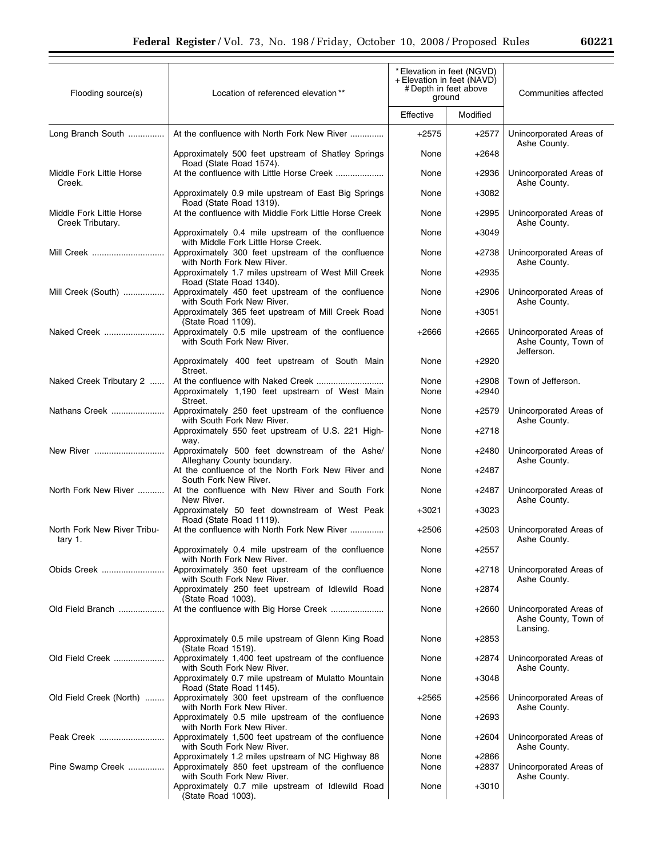| Flooding source(s)                           | Location of referenced elevation**                                                                                                   | * Elevation in feet (NGVD)<br>+ Elevation in feet (NAVD)<br># Depth in feet above<br>ground |                  | Communities affected                                          |  |
|----------------------------------------------|--------------------------------------------------------------------------------------------------------------------------------------|---------------------------------------------------------------------------------------------|------------------|---------------------------------------------------------------|--|
|                                              |                                                                                                                                      | Effective                                                                                   | Modified         |                                                               |  |
| Long Branch South                            | At the confluence with North Fork New River                                                                                          | $+2575$                                                                                     | +2577            | Unincorporated Areas of<br>Ashe County.                       |  |
|                                              | Approximately 500 feet upstream of Shatley Springs<br>Road (State Road 1574).                                                        | None                                                                                        | $+2648$          |                                                               |  |
| Middle Fork Little Horse<br>Creek.           | At the confluence with Little Horse Creek                                                                                            | None                                                                                        | $+2936$          | Unincorporated Areas of<br>Ashe County.                       |  |
|                                              | Approximately 0.9 mile upstream of East Big Springs<br>Road (State Road 1319).                                                       | None                                                                                        | +3082            |                                                               |  |
| Middle Fork Little Horse<br>Creek Tributary. | At the confluence with Middle Fork Little Horse Creek                                                                                | None                                                                                        | $+2995$          | Unincorporated Areas of<br>Ashe County.                       |  |
|                                              | Approximately 0.4 mile upstream of the confluence<br>with Middle Fork Little Horse Creek.                                            | None                                                                                        | $+3049$          |                                                               |  |
| Mill Creek                                   | Approximately 300 feet upstream of the confluence<br>with North Fork New River.                                                      | None                                                                                        | +2738            | Unincorporated Areas of<br>Ashe County.                       |  |
|                                              | Approximately 1.7 miles upstream of West Mill Creek<br>Road (State Road 1340).                                                       | None                                                                                        | +2935            |                                                               |  |
| Mill Creek (South)                           | Approximately 450 feet upstream of the confluence<br>with South Fork New River.                                                      | None                                                                                        | +2906            | Unincorporated Areas of<br>Ashe County.                       |  |
|                                              | Approximately 365 feet upstream of Mill Creek Road<br>(State Road 1109).                                                             | None                                                                                        | $+3051$          |                                                               |  |
| Naked Creek                                  | Approximately 0.5 mile upstream of the confluence<br>with South Fork New River.                                                      | $+2666$                                                                                     | $+2665$          | Unincorporated Areas of<br>Ashe County, Town of<br>Jefferson. |  |
|                                              | Approximately 400 feet upstream of South Main<br>Street.                                                                             | None                                                                                        | +2920            |                                                               |  |
| Naked Creek Tributary 2                      | At the confluence with Naked Creek<br>Approximately 1,190 feet upstream of West Main<br>Street.                                      | None<br>None                                                                                | +2908<br>$+2940$ | Town of Jefferson.                                            |  |
| Nathans Creek                                | Approximately 250 feet upstream of the confluence<br>with South Fork New River.                                                      | None                                                                                        | $+2579$          | Unincorporated Areas of<br>Ashe County.                       |  |
|                                              | Approximately 550 feet upstream of U.S. 221 High-<br>way.                                                                            | None                                                                                        | $+2718$          |                                                               |  |
| New River ………………………                          | Approximately 500 feet downstream of the Ashe/<br>Alleghany County boundary.                                                         | None                                                                                        | +2480            | Unincorporated Areas of<br>Ashe County.                       |  |
|                                              | At the confluence of the North Fork New River and<br>South Fork New River.                                                           | None                                                                                        | +2487            |                                                               |  |
| North Fork New River                         | At the confluence with New River and South Fork<br>New River.                                                                        | None                                                                                        | +2487            | Unincorporated Areas of<br>Ashe County.                       |  |
|                                              | Approximately 50 feet downstream of West Peak<br>Road (State Road 1119).                                                             | $+3021$                                                                                     | +3023            |                                                               |  |
| North Fork New River Tribu-<br>tary 1.       | At the confluence with North Fork New River                                                                                          | $+2506$                                                                                     | +2503            | Unincorporated Areas of<br>Ashe County.                       |  |
|                                              | Approximately 0.4 mile upstream of the confluence<br>with North Fork New River.                                                      | None                                                                                        | $+2557$          |                                                               |  |
| Obids Creek                                  | Approximately 350 feet upstream of the confluence<br>with South Fork New River.                                                      | None                                                                                        | +2718            | Unincorporated Areas of<br>Ashe County.                       |  |
|                                              | Approximately 250 feet upstream of Idlewild Road<br>(State Road 1003).                                                               | None                                                                                        | +2874            |                                                               |  |
| Old Field Branch                             | At the confluence with Big Horse Creek                                                                                               | None                                                                                        | +2660            | Unincorporated Areas of<br>Ashe County, Town of<br>Lansing.   |  |
|                                              | Approximately 0.5 mile upstream of Glenn King Road<br>(State Road 1519).                                                             | None                                                                                        | +2853            |                                                               |  |
| Old Field Creek                              | Approximately 1,400 feet upstream of the confluence<br>with South Fork New River.                                                    | None                                                                                        | +2874            | Unincorporated Areas of<br>Ashe County.                       |  |
|                                              | Approximately 0.7 mile upstream of Mulatto Mountain<br>Road (State Road 1145).                                                       | None                                                                                        | +3048            |                                                               |  |
| Old Field Creek (North)                      | Approximately 300 feet upstream of the confluence<br>with North Fork New River.                                                      | $+2565$                                                                                     | +2566            | Unincorporated Areas of<br>Ashe County.                       |  |
|                                              | Approximately 0.5 mile upstream of the confluence<br>with North Fork New River.                                                      | None                                                                                        | +2693            |                                                               |  |
| Peak Creek                                   | Approximately 1,500 feet upstream of the confluence<br>with South Fork New River.                                                    | None                                                                                        | +2604            | Unincorporated Areas of<br>Ashe County.                       |  |
| Pine Swamp Creek                             | Approximately 1.2 miles upstream of NC Highway 88<br>Approximately 850 feet upstream of the confluence<br>with South Fork New River. | None<br>None                                                                                | +2866<br>+2837   | Unincorporated Areas of<br>Ashe County.                       |  |
|                                              | Approximately 0.7 mile upstream of Idlewild Road<br>(State Road 1003).                                                               | None                                                                                        | $+3010$          |                                                               |  |

2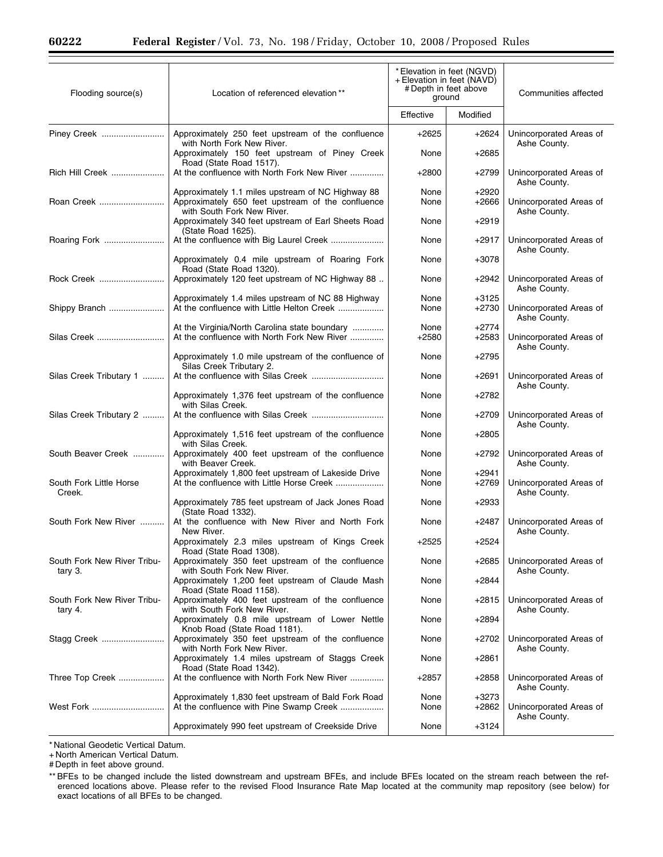| Flooding source(s)                     | Location of referenced elevation**                                                                                                   | * Elevation in feet (NGVD)<br>+ Elevation in feet (NAVD)<br># Depth in feet above<br>ground |                    | Communities affected                    |
|----------------------------------------|--------------------------------------------------------------------------------------------------------------------------------------|---------------------------------------------------------------------------------------------|--------------------|-----------------------------------------|
|                                        |                                                                                                                                      | Effective                                                                                   | Modified           |                                         |
| Piney Creek                            | Approximately 250 feet upstream of the confluence<br>with North Fork New River.                                                      | $+2625$                                                                                     | $+2624$            | Unincorporated Areas of<br>Ashe County. |
|                                        | Approximately 150 feet upstream of Piney Creek<br>Road (State Road 1517).                                                            | None                                                                                        | $+2685$            |                                         |
| Rich Hill Creek                        | At the confluence with North Fork New River                                                                                          | $+2800$                                                                                     | $+2799$            | Unincorporated Areas of<br>Ashe County. |
| Roan Creek                             | Approximately 1.1 miles upstream of NC Highway 88<br>Approximately 650 feet upstream of the confluence<br>with South Fork New River. | None<br>None                                                                                | $+2920$<br>$+2666$ | Unincorporated Areas of<br>Ashe County. |
|                                        | Approximately 340 feet upstream of Earl Sheets Road<br>(State Road 1625).                                                            | None                                                                                        | $+2919$            |                                         |
| Roaring Fork                           |                                                                                                                                      | None                                                                                        | $+2917$            | Unincorporated Areas of<br>Ashe County. |
|                                        | Approximately 0.4 mile upstream of Roaring Fork<br>Road (State Road 1320).                                                           | None                                                                                        | $+3078$            |                                         |
| Rock Creek                             | Approximately 120 feet upstream of NC Highway 88                                                                                     | None                                                                                        | $+2942$            | Unincorporated Areas of<br>Ashe County. |
| Shippy Branch                          | Approximately 1.4 miles upstream of NC 88 Highway<br>At the confluence with Little Helton Creek                                      | None<br>None                                                                                | +3125<br>$+2730$   | Unincorporated Areas of<br>Ashe County. |
| Silas Creek                            | At the Virginia/North Carolina state boundary<br>At the confluence with North Fork New River                                         | None<br>$+2580$                                                                             | $+2774$<br>$+2583$ | Unincorporated Areas of<br>Ashe County. |
|                                        | Approximately 1.0 mile upstream of the confluence of<br>Silas Creek Tributary 2.                                                     | None                                                                                        | $+2795$            |                                         |
| Silas Creek Tributary 1                |                                                                                                                                      | None                                                                                        | $+2691$            | Unincorporated Areas of<br>Ashe County. |
|                                        | Approximately 1,376 feet upstream of the confluence<br>with Silas Creek.                                                             | None                                                                                        | +2782              |                                         |
| Silas Creek Tributary 2                |                                                                                                                                      | None                                                                                        | $+2709$            | Unincorporated Areas of<br>Ashe County. |
|                                        | Approximately 1,516 feet upstream of the confluence<br>with Silas Creek.                                                             | None                                                                                        | $+2805$            |                                         |
| South Beaver Creek                     | Approximately 400 feet upstream of the confluence<br>with Beaver Creek.                                                              | None                                                                                        | +2792              | Unincorporated Areas of<br>Ashe County. |
| South Fork Little Horse<br>Creek.      | Approximately 1,800 feet upstream of Lakeside Drive<br>At the confluence with Little Horse Creek                                     | None<br>None                                                                                | $+2941$<br>$+2769$ | Unincorporated Areas of<br>Ashe County. |
|                                        | Approximately 785 feet upstream of Jack Jones Road<br>(State Road 1332).                                                             | None                                                                                        | $+2933$            |                                         |
| South Fork New River                   | At the confluence with New River and North Fork<br>New River.                                                                        | None                                                                                        | +2487              | Unincorporated Areas of<br>Ashe County. |
|                                        | Approximately 2.3 miles upstream of Kings Creek<br>Road (State Road 1308).                                                           | $+2525$                                                                                     | +2524              |                                         |
| South Fork New River Tribu-<br>tary 3. | Approximately 350 feet upstream of the confluence<br>with South Fork New River.                                                      | None                                                                                        | $+2685$            | Unincorporated Areas of<br>Ashe County. |
|                                        | Approximately 1,200 feet upstream of Claude Mash<br>Road (State Road 1158).                                                          | None                                                                                        | +2844              |                                         |
| South Fork New River Tribu-<br>tary 4. | Approximately 400 feet upstream of the confluence<br>with South Fork New River.                                                      | None                                                                                        | +2815              | Unincorporated Areas of<br>Ashe County. |
|                                        | Approximately 0.8 mile upstream of Lower Nettle<br>Knob Road (State Road 1181).                                                      | None                                                                                        | $+2894$            |                                         |
| Stagg Creek                            | Approximately 350 feet upstream of the confluence<br>with North Fork New River.                                                      | None                                                                                        | +2702              | Unincorporated Areas of<br>Ashe County. |
|                                        | Approximately 1.4 miles upstream of Staggs Creek<br>Road (State Road 1342).                                                          | None                                                                                        | $+2861$            |                                         |
| Three Top Creek                        | At the confluence with North Fork New River                                                                                          | +2857                                                                                       | +2858              | Unincorporated Areas of<br>Ashe County. |
| West Fork                              | Approximately 1,830 feet upstream of Bald Fork Road<br>At the confluence with Pine Swamp Creek                                       | None<br>None                                                                                | $+3273$<br>+2862   | Unincorporated Areas of<br>Ashe County. |
|                                        | Approximately 990 feet upstream of Creekside Drive                                                                                   | None                                                                                        | +3124              |                                         |

\* National Geodetic Vertical Datum.

+ North American Vertical Datum.

# Depth in feet above ground.

<sup>\*\*</sup> BFEs to be changed include the listed downstream and upstream BFEs, and include BFEs located on the stream reach between the referenced locations above. Please refer to the revised Flood Insurance Rate Map located at the community map repository (see below) for exact locations of all BFEs to be changed.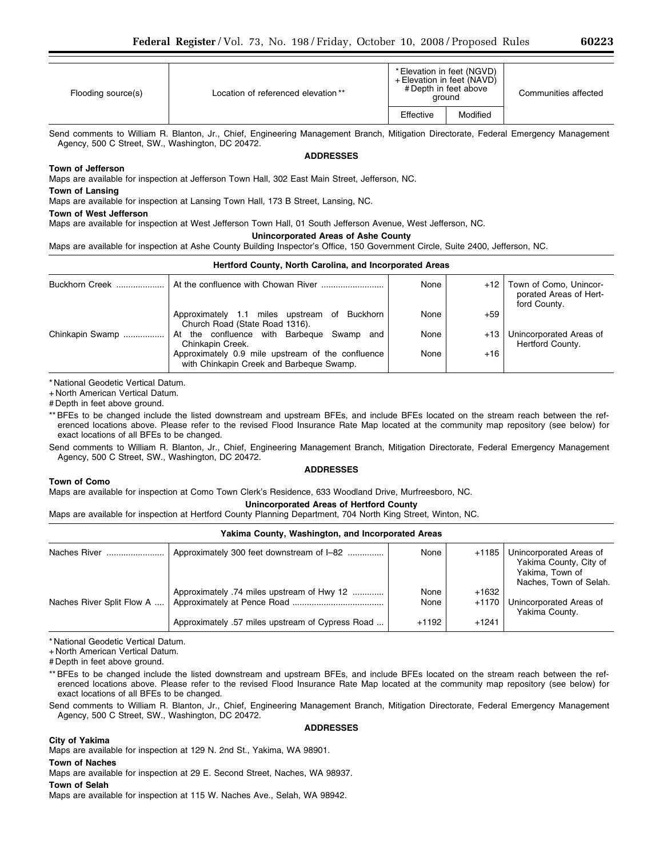| 6022: |  |
|-------|--|
|-------|--|

| Flooding source(s) | Location of referenced elevation ** | * Elevation in feet (NGVD)<br>+ Elevation in feet (NAVD)<br># Depth in feet above<br>ground |          | Communities affected |
|--------------------|-------------------------------------|---------------------------------------------------------------------------------------------|----------|----------------------|
|                    |                                     | Effective                                                                                   | Modified |                      |

Send comments to William R. Blanton, Jr., Chief, Engineering Management Branch, Mitigation Directorate, Federal Emergency Management Agency, 500 C Street, SW., Washington, DC 20472.

**ADDRESSES** 

# **Town of Jefferson**

Maps are available for inspection at Jefferson Town Hall, 302 East Main Street, Jefferson, NC.

## **Town of Lansing**

Maps are available for inspection at Lansing Town Hall, 173 B Street, Lansing, NC.

### **Town of West Jefferson**

Maps are available for inspection at West Jefferson Town Hall, 01 South Jefferson Avenue, West Jefferson, NC.

# **Unincorporated Areas of Ashe County**

Maps are available for inspection at Ashe County Building Inspector's Office, 150 Government Circle, Suite 2400, Jefferson, NC.

| Hertford County, North Carolina, and Incorporated Areas |                                                                                               |      |       |                                                                  |  |
|---------------------------------------------------------|-----------------------------------------------------------------------------------------------|------|-------|------------------------------------------------------------------|--|
| <b>Buckhorn Creek</b>                                   |                                                                                               | None | $+12$ | Town of Como, Unincor-<br>porated Areas of Hert-<br>ford County. |  |
|                                                         | Buckhorn<br>Approximately 1.1 miles upstream of<br>Church Road (State Road 1316).             | None | $+59$ |                                                                  |  |
| Chinkapin Swamp<br>.                                    | At the confluence with Barbegue<br>Swamp and<br>Chinkapin Creek.                              | None | $+13$ | Unincorporated Areas of<br>Hertford County.                      |  |
|                                                         | Approximately 0.9 mile upstream of the confluence<br>with Chinkapin Creek and Barbeque Swamp. | None | $+16$ |                                                                  |  |

\* National Geodetic Vertical Datum.

+ North American Vertical Datum.

# Depth in feet above ground.

\*\* BFEs to be changed include the listed downstream and upstream BFEs, and include BFEs located on the stream reach between the referenced locations above. Please refer to the revised Flood Insurance Rate Map located at the community map repository (see below) for exact locations of all BFEs to be changed.

Send comments to William R. Blanton, Jr., Chief, Engineering Management Branch, Mitigation Directorate, Federal Emergency Management Agency, 500 C Street, SW., Washington, DC 20472. **ADDRESSES** 

## **Town of Como**

Maps are available for inspection at Como Town Clerk's Residence, 633 Woodland Drive, Murfreesboro, NC.

## **Unincorporated Areas of Hertford County**

Maps are available for inspection at Hertford County Planning Department, 704 North King Street, Winton, NC.

# **Yakima County, Washington, and Incorporated Areas**  Naches River ........................ Approximately 300 feet downstream of I–82 ............... None +1185 Unincorporated Areas of Yakima County, City of Yakima, Town of Naches, Town of Selah. Approximately .74 miles upstream of Hwy 12  $\ldots$ ............ None +1632 Naches River Split Flow A .... Approximately at Pence Road ...................................... None +1170 Unincorporated Areas of Yakima County. Approximately .57 miles upstream of Cypress Road  $\dots$  +1192 +1241

\* National Geodetic Vertical Datum.

+ North American Vertical Datum.

# Depth in feet above ground.

\*\* BFEs to be changed include the listed downstream and upstream BFEs, and include BFEs located on the stream reach between the referenced locations above. Please refer to the revised Flood Insurance Rate Map located at the community map repository (see below) for exact locations of all BFEs to be changed.

Send comments to William R. Blanton, Jr., Chief, Engineering Management Branch, Mitigation Directorate, Federal Emergency Management Agency, 500 C Street, SW., Washington, DC 20472.

### **ADDRESSES**

## **City of Yakima**

Maps are available for inspection at 129 N. 2nd St., Yakima, WA 98901.

## **Town of Naches**

Maps are available for inspection at 29 E. Second Street, Naches, WA 98937.

### **Town of Selah**

Maps are available for inspection at 115 W. Naches Ave., Selah, WA 98942.